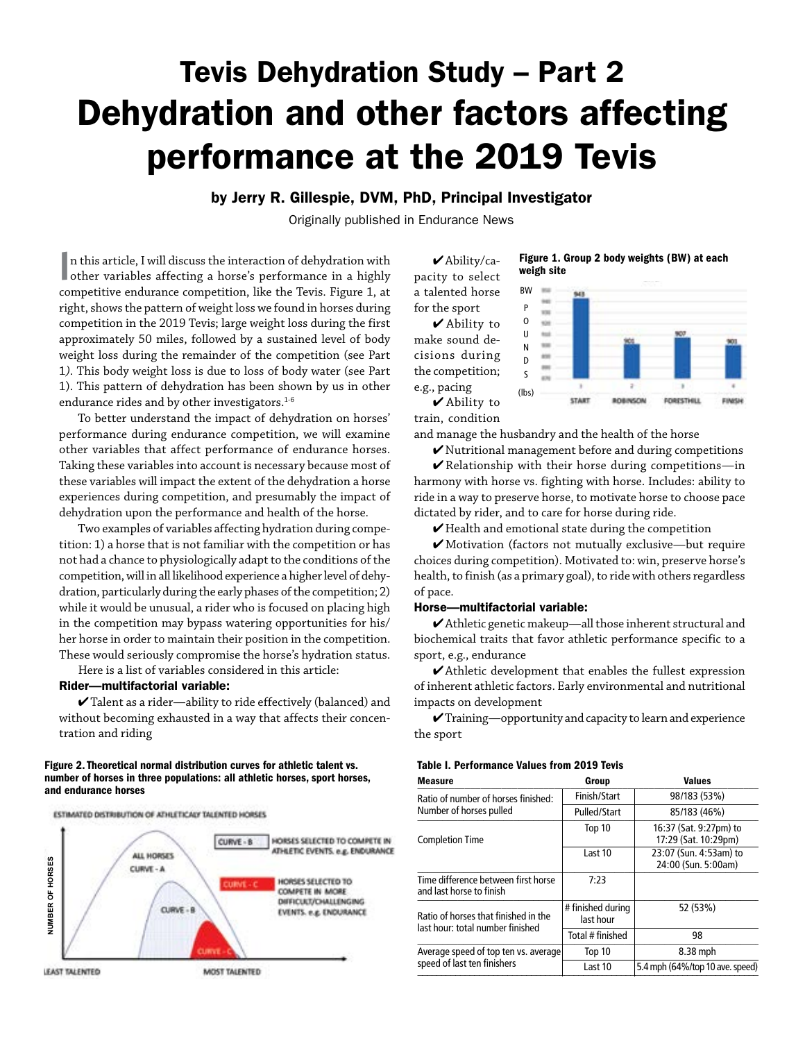# Tevis Dehydration Study – Part 2 Dehydration and other factors affecting performance at the 2019 Tevis

by Jerry R. Gillespie, DVM, PhD, Principal Investigator

Originally published in Endurance News

 $\blacksquare$ n this article, I will discuss the interaction of dehydration with other variables affecting a horse's performance in a highly n this article, I will discuss the interaction of dehydration with competitive endurance competition, like the Tevis. Figure 1, at right, shows the pattern of weight loss we found in horses during competition in the 2019 Tevis; large weight loss during the first approximately 50 miles, followed by a sustained level of body weight loss during the remainder of the competition (see Part 1*)*. This body weight loss is due to loss of body water (see Part 1). This pattern of dehydration has been shown by us in other endurance rides and by other investigators.<sup>1-6</sup>

To better understand the impact of dehydration on horses' performance during endurance competition, we will examine other variables that affect performance of endurance horses. Taking these variables into account is necessary because most of these variables will impact the extent of the dehydration a horse experiences during competition, and presumably the impact of dehydration upon the performance and health of the horse.

Two examples of variables affecting hydration during competition: 1) a horse that is not familiar with the competition or has not had a chance to physiologically adapt to the conditions of the competition, will in all likelihood experience a higher level of dehydration, particularly during the early phases of the competition; 2) while it would be unusual, a rider who is focused on placing high in the competition may bypass watering opportunities for his/ her horse in order to maintain their position in the competition. These would seriously compromise the horse's hydration status.

Here is a list of variables considered in this article:

# Rider—multifactorial variable:

 $\checkmark$  Talent as a rider—ability to ride effectively (balanced) and without becoming exhausted in a way that affects their concentration and riding

### Figure 2. Theoretical normal distribution curves for athletic talent vs. number of horses in three populations: all athletic horses, sport horses, and endurance horses



Figure 1. Group 2 body weights (BW) at each weigh site

pacity to select a talented horse for the sport 4 Ability to make sound decisions during the competition; e.g., pacing

 $\blacktriangleright$  Ability/ca-



4 Ability to train, condition

and manage the husbandry and the health of the horse

 $\blacktriangledown$  Nutritional management before and during competitions  $\blacktriangleright$  Relationship with their horse during competitions—in harmony with horse vs. fighting with horse. Includes: ability to ride in a way to preserve horse, to motivate horse to choose pace dictated by rider, and to care for horse during ride.

 $\blacktriangleright$  Health and emotional state during the competition

4 Motivation (factors not mutually exclusive—but require choices during competition). Motivated to: win, preserve horse's health, to finish (as a primary goal), to ride with others regardless of pace.

### Horse—multifactorial variable:

4 Athletic genetic makeup—all those inherent structural and biochemical traits that favor athletic performance specific to a sport, e.g., endurance

 $\blacktriangleright$  Athletic development that enables the fullest expression of inherent athletic factors. Early environmental and nutritional impacts on development

 $\checkmark$ Training—opportunity and capacity to learn and experience the sport

## Table I. Performance Values from 2019 Tevis

| <b>Measure</b>                                                           | Group                          | <b>Values</b>                                  |
|--------------------------------------------------------------------------|--------------------------------|------------------------------------------------|
| Ratio of number of horses finished:                                      | Finish/Start                   | 98/183 (53%)                                   |
| Number of horses pulled                                                  | Pulled/Start                   | 85/183 (46%)                                   |
| <b>Completion Time</b>                                                   | Top 10                         | 16:37 (Sat. 9:27pm) to<br>17:29 (Sat. 10:29pm) |
|                                                                          | Last 10                        | 23:07 (Sun. 4:53am) to<br>24:00 (Sun. 5:00am)  |
| Time difference between first horse<br>and last horse to finish          | 7:23                           |                                                |
| Ratio of horses that finished in the<br>last hour: total number finished | # finished during<br>last hour | 52 (53%)                                       |
|                                                                          | Total # finished               | 98                                             |
| Average speed of top ten vs. average                                     | Top 10                         | 8.38 mph                                       |
| speed of last ten finishers                                              | Last 10                        | 5.4 mph (64%/top 10 ave. speed)                |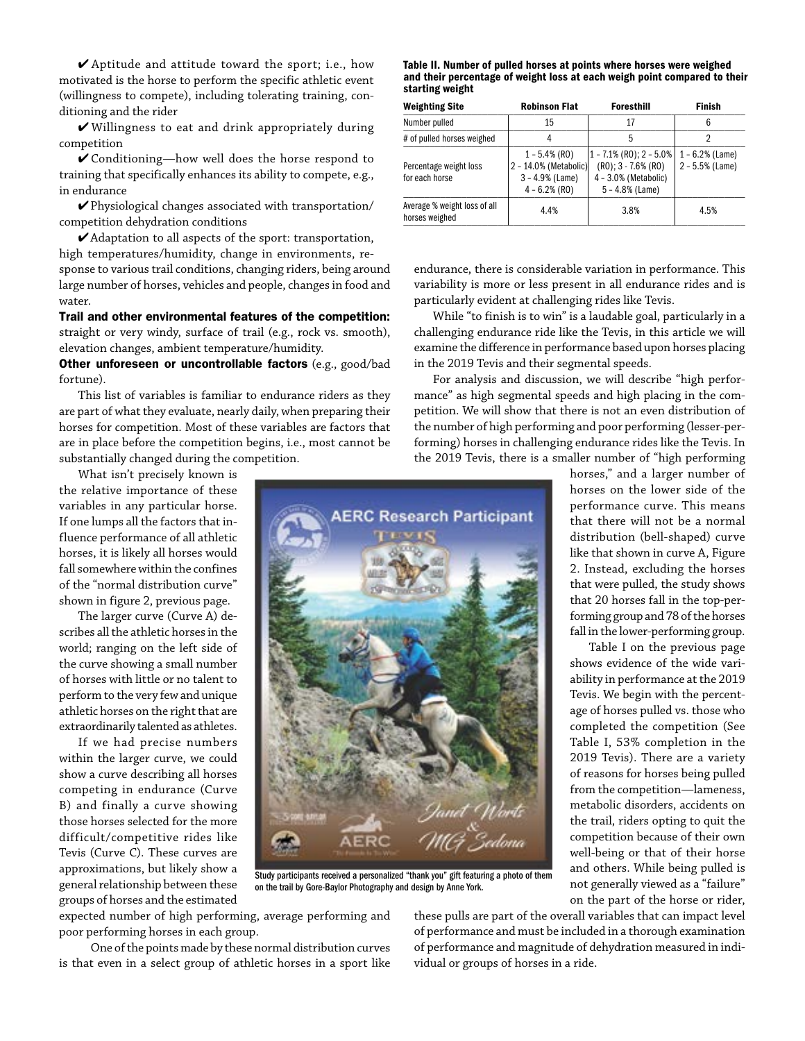4 Aptitude and attitude toward the sport; i.e., how motivated is the horse to perform the specific athletic event (willingness to compete), including tolerating training, conditioning and the rider

4 Willingness to eat and drink appropriately during competition

4 Conditioning—how well does the horse respond to training that specifically enhances its ability to compete, e.g., in endurance

4 Physiological changes associated with transportation/ competition dehydration conditions

4 Adaptation to all aspects of the sport: transportation, high temperatures/humidity, change in environments, response to various trail conditions, changing riders, being around large number of horses, vehicles and people, changes in food and water.

Trail and other environmental features of the competition: straight or very windy, surface of trail (e.g., rock vs. smooth), elevation changes, ambient temperature/humidity.

Other unforeseen or uncontrollable factors (e.g., good/bad fortune).

This list of variables is familiar to endurance riders as they are part of what they evaluate, nearly daily, when preparing their horses for competition. Most of these variables are factors that are in place before the competition begins, i.e., most cannot be substantially changed during the competition.

What isn't precisely known is the relative importance of these variables in any particular horse. If one lumps all the factors that influence performance of all athletic horses, it is likely all horses would fall somewhere within the confines of the "normal distribution curve" shown in figure 2, previous page.

The larger curve (Curve A) describes all the athletic horses in the world; ranging on the left side of the curve showing a small number of horses with little or no talent to perform to the very few and unique athletic horses on the right that are extraordinarily talented as athletes.

If we had precise numbers within the larger curve, we could show a curve describing all horses competing in endurance (Curve B) and finally a curve showing those horses selected for the more difficult/competitive rides like Tevis (Curve C). These curves are approximations, but likely show a general relationship between these groups of horses and the estimated Table II. Number of pulled horses at points where horses were weighed and their percentage of weight loss at each weigh point compared to their starting weight

| <b>Weighting Site</b>                          | <b>Robinson Flat</b>                                                              | <b>Foresthill</b>                                                                                   | Finish                                 |
|------------------------------------------------|-----------------------------------------------------------------------------------|-----------------------------------------------------------------------------------------------------|----------------------------------------|
| Number pulled                                  | 15                                                                                | 17                                                                                                  | 6                                      |
| # of pulled horses weighed                     | 4                                                                                 | 5                                                                                                   | 2                                      |
| Percentage weight loss<br>for each horse       | $1 - 5.4\%$ (RO)<br>2 - 14.0% (Metabolic)<br>$3 - 4.9%$ (Lame)<br>$4 - 6.2%$ (RO) | $ 1 - 7.1\%$ (RO); 2 - 5.0%<br>$(R0); 3 - 7.6% (R0)$<br>$4 - 3.0%$ (Metabolic)<br>$5 - 4.8%$ (Lame) | $1 - 6.2%$ (Lame)<br>$2 - 5.5%$ (Lame) |
| Average % weight loss of all<br>horses weighed | 4.4%                                                                              | 3.8%                                                                                                | 4.5%                                   |

endurance, there is considerable variation in performance. This variability is more or less present in all endurance rides and is particularly evident at challenging rides like Tevis.

While "to finish is to win" is a laudable goal, particularly in a challenging endurance ride like the Tevis, in this article we will examine the difference in performance based upon horses placing in the 2019 Tevis and their segmental speeds.

For analysis and discussion, we will describe "high performance" as high segmental speeds and high placing in the competition. We will show that there is not an even distribution of the number of high performing and poor performing (lesser-performing) horses in challenging endurance rides like the Tevis. In the 2019 Tevis, there is a smaller number of "high performing



Study participants received a personalized "thank you" gift featuring a photo of them on the trail by Gore-Baylor Photography and design by Anne York.

expected number of high performing, average performing and poor performing horses in each group.

One of the points made by these normal distribution curves is that even in a select group of athletic horses in a sport like

these pulls are part of the overall variables that can impact level of performance and must be included in a thorough examination of performance and magnitude of dehydration measured in individual or groups of horses in a ride.

horses," and a larger number of horses on the lower side of the performance curve. This means that there will not be a normal distribution (bell-shaped) curve like that shown in curve A, Figure 2. Instead, excluding the horses that were pulled, the study shows that 20 horses fall in the top-performing group and 78 of the horses fall in the lower-performing group.

Table I on the previous page shows evidence of the wide variability in performance at the 2019 Tevis. We begin with the percentage of horses pulled vs. those who completed the competition (See Table I, 53% completion in the 2019 Tevis). There are a variety of reasons for horses being pulled from the competition—lameness, metabolic disorders, accidents on the trail, riders opting to quit the competition because of their own well-being or that of their horse and others. While being pulled is not generally viewed as a "failure" on the part of the horse or rider,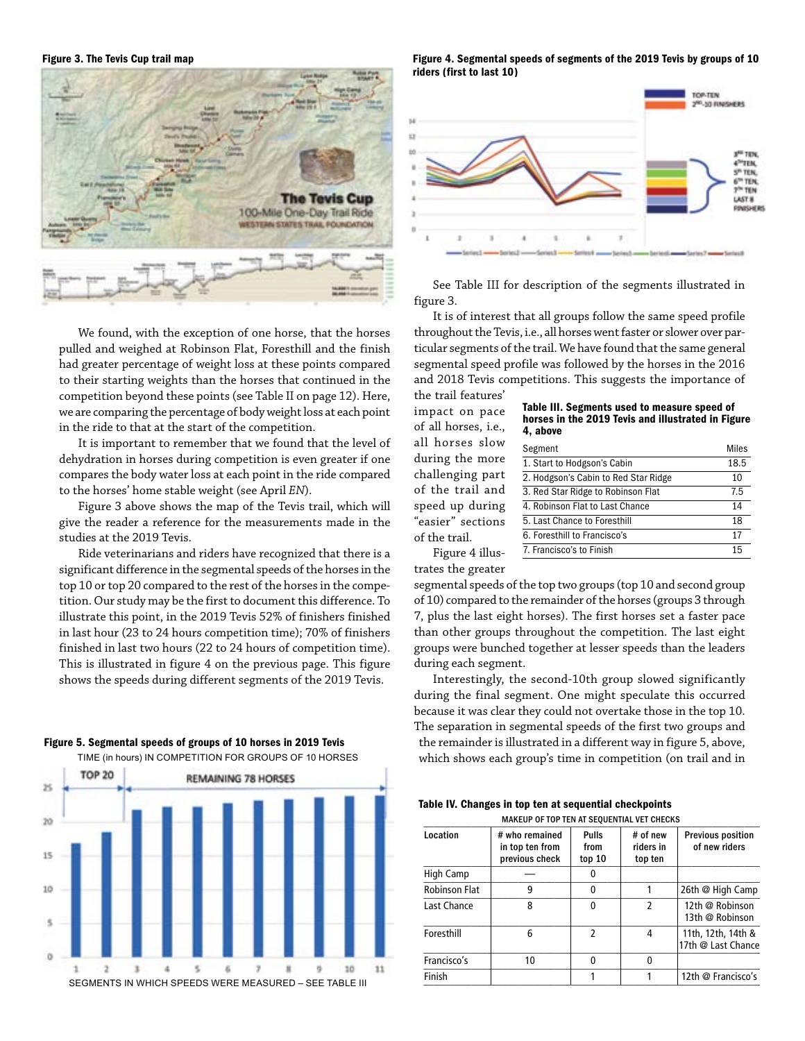

We found, with the exception of one horse, that the horses pulled and weighed at Robinson Flat, Foresthill and the finish had greater percentage of weight loss at these points compared to their starting weights than the horses that continued in the competition beyond these points (see Table II on page 12). Here, we are comparing the percentage of body weight loss at each point in the ride to that at the start of the competition.

It is important to remember that we found that the level of dehydration in horses during competition is even greater if one compares the body water loss at each point in the ride compared to the horses' home stable weight (see April *EN*).

Figure 3 above shows the map of the Tevis trail, which will give the reader a reference for the measurements made in the studies at the 2019 Tevis.

Ride veterinarians and riders have recognized that there is a significant difference in the segmental speeds of the horses in the top 10 or top 20 compared to the rest of the horses in the competition. Our study may be the first to document this difference. To illustrate this point, in the 2019 Tevis 52% of finishers finished in last hour (23 to 24 hours competition time); 70% of finishers finished in last two hours (22 to 24 hours of competition time). This is illustrated in figure 4 on the previous page. This figure shows the speeds during different segments of the 2019 Tevis.

# Figure 5. Segmental speeds of groups of 10 horses in 2019 Tevis



Figure 3. The Tevis Cup trail map Figure 4. Segmental speeds of segments of the 2019 Tevis by groups of 10 riders (first to last 10)



See Table III for description of the segments illustrated in figure 3.

It is of interest that all groups follow the same speed profile throughout the Tevis, i.e., all horses went faster or slower over particular segments of the trail. We have found that the same general segmental speed profile was followed by the horses in the 2016 and 2018 Tevis competitions. This suggests the importance of

the trail features' impact on pace of all horses, i.e., all horses slow during the more challenging part of the trail and speed up during "easier" sections of the trail.

| Table III. Segments used to measure speed of       |
|----------------------------------------------------|
| horses in the 2019 Tevis and illustrated in Figure |
| 4, above                                           |

| Segment                              | Miles |
|--------------------------------------|-------|
| 1. Start to Hodgson's Cabin          | 18.5  |
| 2. Hodgson's Cabin to Red Star Ridge | 10    |
| 3. Red Star Ridge to Robinson Flat   | 7.5   |
| 4. Robinson Flat to Last Chance      | 14    |
| 5. Last Chance to Foresthill         | 18    |
| 6. Foresthill to Francisco's         | 17    |
| 7. Francisco's to Finish             | 15    |
|                                      |       |

Figure 4 illus-

trates the greater

segmental speeds of the top two groups (top 10 and second group of 10) compared to the remainder of the horses (groups 3 through 7, plus the last eight horses). The first horses set a faster pace than other groups throughout the competition. The last eight groups were bunched together at lesser speeds than the leaders during each segment.

Interestingly, the second-10th group slowed significantly during the final segment. One might speculate this occurred because it was clear they could not overtake those in the top 10. The separation in segmental speeds of the first two groups and the remainder is illustrated in a different way in figure 5, above, which shows each group's time in competition (on trail and in

Table IV. Changes in top ten at sequential checkpoints MAKEUP OF TOP TEN AT SEQUENTIAL VET CHECKS

| Location             | # who remained<br>in top ten from<br>previous check | <b>Pulls</b><br>from<br>top 10 | # of new<br>riders in<br>top ten | <b>Previous position</b><br>of new riders |
|----------------------|-----------------------------------------------------|--------------------------------|----------------------------------|-------------------------------------------|
| High Camp            |                                                     | 0                              |                                  |                                           |
| <b>Robinson Flat</b> | 9                                                   | 0                              |                                  | 26th @ High Camp                          |
| Last Chance          | 8                                                   | 0                              | 2                                | 12th @ Robinson<br>13th @ Robinson        |
| Foresthill           | 6                                                   | 2                              | 4                                | 11th, 12th, 14th &<br>17th @ Last Chance  |
| Francisco's          | 10                                                  | 0                              | 0                                |                                           |
| Finish               |                                                     |                                |                                  | 12th @ Francisco's                        |
|                      |                                                     |                                |                                  |                                           |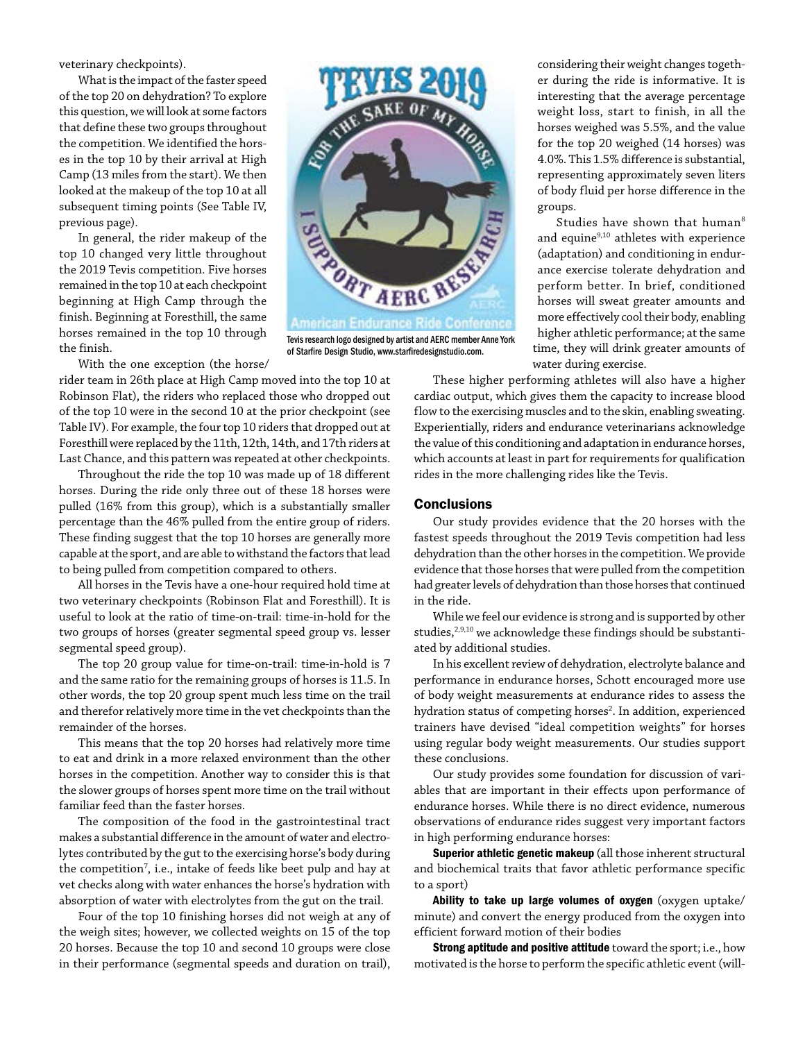veterinary checkpoints).

What is the impact of the faster speed of the top 20 on dehydration? To explore this question, we will look at some factors that define these two groups throughout the competition. We identified the horses in the top 10 by their arrival at High Camp (13 miles from the start). We then looked at the makeup of the top 10 at all subsequent timing points (See Table IV, previous page).

In general, the rider makeup of the top 10 changed very little throughout the 2019 Tevis competition. Five horses remained in the top 10 at each checkpoint beginning at High Camp through the finish. Beginning at Foresthill, the same horses remained in the top 10 through the finish.

With the one exception (the horse/

rider team in 26th place at High Camp moved into the top 10 at Robinson Flat), the riders who replaced those who dropped out of the top 10 were in the second 10 at the prior checkpoint (see Table IV). For example, the four top 10 riders that dropped out at Foresthill were replaced by the 11th, 12th, 14th, and 17th riders at Last Chance, and this pattern was repeated at other checkpoints.

Throughout the ride the top 10 was made up of 18 different horses. During the ride only three out of these 18 horses were pulled (16% from this group), which is a substantially smaller percentage than the 46% pulled from the entire group of riders. These finding suggest that the top 10 horses are generally more capable at the sport, and are able to withstand the factors that lead to being pulled from competition compared to others.

All horses in the Tevis have a one-hour required hold time at two veterinary checkpoints (Robinson Flat and Foresthill). It is useful to look at the ratio of time-on-trail: time-in-hold for the two groups of horses (greater segmental speed group vs. lesser segmental speed group).

The top 20 group value for time-on-trail: time-in-hold is 7 and the same ratio for the remaining groups of horses is 11.5. In other words, the top 20 group spent much less time on the trail and therefor relatively more time in the vet checkpoints than the remainder of the horses.

This means that the top 20 horses had relatively more time to eat and drink in a more relaxed environment than the other horses in the competition. Another way to consider this is that the slower groups of horses spent more time on the trail without familiar feed than the faster horses.

The composition of the food in the gastrointestinal tract makes a substantial difference in the amount of water and electrolytes contributed by the gut to the exercising horse's body during the competition<sup>7</sup>, i.e., intake of feeds like beet pulp and hay at vet checks along with water enhances the horse's hydration with absorption of water with electrolytes from the gut on the trail.

Four of the top 10 finishing horses did not weigh at any of the weigh sites; however, we collected weights on 15 of the top 20 horses. Because the top 10 and second 10 groups were close in their performance (segmental speeds and duration on trail),



Tevis research logo designed by artist and AERC member Anne York of Starfire Design Studio, www.starfiredesignstudio.com.

considering their weight changes together during the ride is informative. It is interesting that the average percentage weight loss, start to finish, in all the horses weighed was 5.5%, and the value for the top 20 weighed (14 horses) was 4.0%. This 1.5% difference is substantial, representing approximately seven liters of body fluid per horse difference in the groups.

Studies have shown that human<sup>8</sup> and equine<sup>9,10</sup> athletes with experience (adaptation) and conditioning in endurance exercise tolerate dehydration and perform better. In brief, conditioned horses will sweat greater amounts and more effectively cool their body, enabling higher athletic performance; at the same time, they will drink greater amounts of water during exercise.

These higher performing athletes will also have a higher cardiac output, which gives them the capacity to increase blood flow to the exercising muscles and to the skin, enabling sweating. Experientially, riders and endurance veterinarians acknowledge the value of this conditioning and adaptation in endurance horses, which accounts at least in part for requirements for qualification rides in the more challenging rides like the Tevis.

### **Conclusions**

Our study provides evidence that the 20 horses with the fastest speeds throughout the 2019 Tevis competition had less dehydration than the other horses in the competition. We provide evidence that those horses that were pulled from the competition had greater levels of dehydration than those horses that continued in the ride.

While we feel our evidence is strong and is supported by other studies,<sup>2,9,10</sup> we acknowledge these findings should be substantiated by additional studies.

In his excellent review of dehydration, electrolyte balance and performance in endurance horses, Schott encouraged more use of body weight measurements at endurance rides to assess the hydration status of competing horses<sup>2</sup>. In addition, experienced trainers have devised "ideal competition weights" for horses using regular body weight measurements. Our studies support these conclusions.

Our study provides some foundation for discussion of variables that are important in their effects upon performance of endurance horses. While there is no direct evidence, numerous observations of endurance rides suggest very important factors in high performing endurance horses:

Superior athletic genetic makeup (all those inherent structural and biochemical traits that favor athletic performance specific to a sport)

Ability to take up large volumes of oxygen (oxygen uptake/ minute) and convert the energy produced from the oxygen into efficient forward motion of their bodies

Strong aptitude and positive attitude toward the sport; i.e., how motivated is the horse to perform the specific athletic event (will